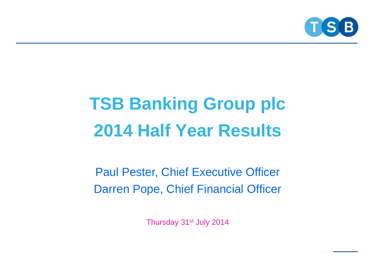

# **TSB Banking Group plc 2014 Half Year Results**

Paul Pester, Chief Executive Officer Darren Pope, Chief Financial Officer

Thursday 31<sup>st</sup> July 2014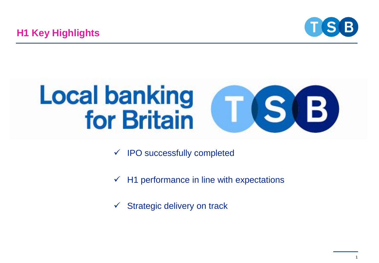



- $\checkmark$  IPO successfully completed
- $\checkmark$  H1 performance in line with expectations
- $\checkmark$  Strategic delivery on track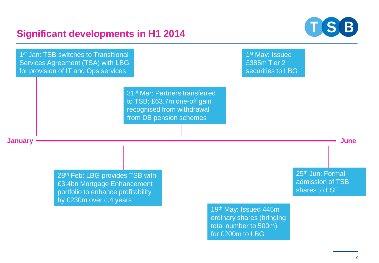## **Significant developments in H1 2014**



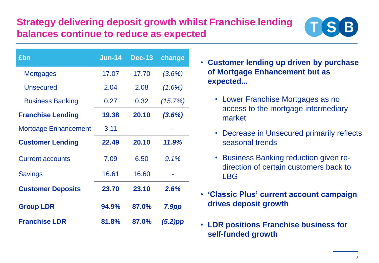## **Strategy delivering deposit growth whilst Franchise lending balances continue to reduce as expected**



| £bn                      | <b>Jun-14</b> | <b>Dec-13</b> | change     |
|--------------------------|---------------|---------------|------------|
| <b>Mortgages</b>         | 17.07         | 17.70         | $(3.6\%)$  |
| <b>Unsecured</b>         | 2.04          | 2.08          | $(1.6\%)$  |
| <b>Business Banking</b>  | 0.27          | 0.32          | (15.7%)    |
| <b>Franchise Lending</b> | 19.38         | 20.10         | $(3.6\%)$  |
| Mortgage Enhancement     | 3.11          |               |            |
| <b>Customer Lending</b>  | 22.49         | 20.10         | 11.9%      |
| <b>Current accounts</b>  | 7.09          | 6.50          | 9.1%       |
| <b>Savings</b>           | 16.61         | 16.60         |            |
| <b>Customer Deposits</b> | 23.70         | 23.10         | 2.6%       |
| <b>Group LDR</b>         | 94.9%         | 87.0%         | 7.9pp      |
| <b>Franchise LDR</b>     | 81.8%         | 87.0%         | $(5.2)$ pp |

- **Customer lending up driven by purchase of Mortgage Enhancement but as expected...**
	- Lower Franchise Mortgages as no access to the mortgage intermediary market
	- Decrease in Unsecured primarily reflects seasonal trends
	- Business Banking reduction given redirection of certain customers back to LBG
- **'Classic Plus' current account campaign drives deposit growth**
- **LDR positions Franchise business for self-funded growth**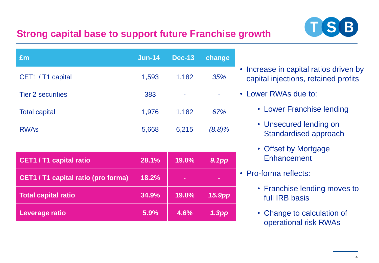#### $T(S|B)$ **Strong capital base to support future Franchise growth**

| £m                       | $Jun-14$ | <b>Dec-13</b> | change |
|--------------------------|----------|---------------|--------|
| CET1 / T1 capital        | 1,593    | 1,182         | 35%    |
| <b>Tier 2 securities</b> | 383      | ۰             | ٠      |
| <b>Total capital</b>     | 1,976    | 1,182         | 67%    |
| <b>RWAs</b>              | 5,668    | 6,215         | (8.8)% |

| <b>CET1 / T1 capital ratio</b>      | 28.1% | 19.0% | 9.1pp             |
|-------------------------------------|-------|-------|-------------------|
| CET1 / T1 capital ratio (pro forma) | 18.2% | ٠     | $\equiv$          |
| <b>Total capital ratio</b>          | 34.9% | 19.0% | 15.9pp            |
| Leverage ratio                      | 5.9%  | 4.6%  | 1.3 <sub>pp</sub> |

- Increase in capital ratios driven by capital injections, retained profits
- Lower RWAs due to:
	- Lower Franchise lending
	- Unsecured lending on Standardised approach
	- Offset by Mortgage **Enhancement**
	- Pro-forma reflects:
		- Franchise lending moves to full IRB basis
		- Change to calculation of operational risk RWAs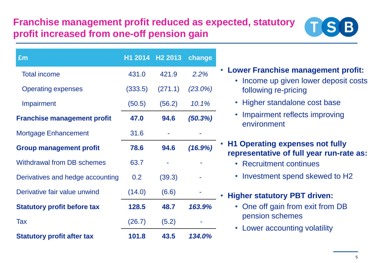# **Franchise management profit reduced as expected, statutory profit increased from one-off pension gain**



| £m                                 |         | H1 2014 H2 2013 | change     |                                                                                          |
|------------------------------------|---------|-----------------|------------|------------------------------------------------------------------------------------------|
| <b>Total income</b>                | 431.0   | 421.9           | 2.2%       | Lower Franchise management profit:<br>$\bullet$<br>• Income up given lower deposit costs |
| <b>Operating expenses</b>          | (333.5) | (271.1)         | $(23.0\%)$ | following re-pricing                                                                     |
| Impairment                         | (50.5)  | (56.2)          | 10.1%      | • Higher standalone cost base                                                            |
| <b>Franchise management profit</b> | 47.0    | 94.6            | (50.3%)    | Impairment reflects improving<br>$\bullet$<br>environment                                |
| <b>Mortgage Enhancement</b>        | 31.6    |                 |            |                                                                                          |
| <b>Group management profit</b>     | 78.6    | 94.6            | (16.9%)    | <b>H1 Operating expenses not fully</b><br>representative of full year run-rate as:       |
| <b>Withdrawal from DB schemes</b>  | 63.7    | ٠               |            | • Recruitment continues                                                                  |
| Derivatives and hedge accounting   | 0.2     | (39.3)          |            | • Investment spend skewed to H2                                                          |
| Derivative fair value unwind       | (14.0)  | (6.6)           |            | . Higher statutory PBT driven:                                                           |
| <b>Statutory profit before tax</b> | 128.5   | 48.7            | 163.9%     | • One off gain from exit from DB                                                         |
| Tax                                | (26.7)  | (5.2)           |            | pension schemes                                                                          |
| <b>Statutory profit after tax</b>  | 101.8   | 43.5            | 134.0%     | Lower accounting volatility<br>$\bullet$                                                 |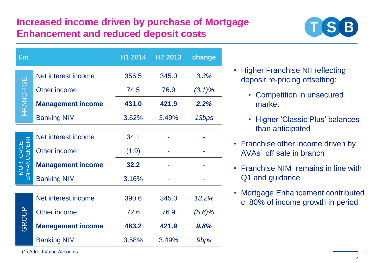# **Increased income driven by purchase of Mortgage Enhancement and reduced deposit costs**



| £m                     |                          | H1 2014 | H <sub>2</sub> 2013 | change           |
|------------------------|--------------------------|---------|---------------------|------------------|
| FRANCHISE              | Net interest income      | 356.5   | 345.0               | 3.3%             |
|                        | <b>Other income</b>      | 74.5    | 76.9                | $(3.1)\%$        |
|                        | <b>Management income</b> | 431.0   | 421.9               | 2.2%             |
|                        | <b>Banking NIM</b>       | 3.62%   | 3.49%               | 13bps            |
|                        | Net interest income      | 34.1    |                     |                  |
| MORTGAGE<br>ENHANCEMEN | Other income             | (1.9)   |                     |                  |
|                        | <b>Management income</b> | 32.2    |                     |                  |
|                        | <b>Banking NIM</b>       | 3.16%   |                     |                  |
| GROUP                  | Net interest income      | 390.6   | 345.0               | 13.2%            |
|                        | Other income             | 72.6    | 76.9                | (5.6)%           |
|                        | <b>Management income</b> | 463.2   | 421.9               | 9.8%             |
|                        | <b>Banking NIM</b>       | 3.58%   | 3.49%               | 9 <sub>bps</sub> |

- Higher Franchise NII reflecting deposit re-pricing offsetting:
	- Competition in unsecured market
	- Higher 'Classic Plus' balances than anticipated
- Franchise other income driven by AVAs<sup>1</sup> off sale in branch
- Franchise NIM remains in line with Q1 and guidance
- Mortgage Enhancement contributed c. 80% of income growth in period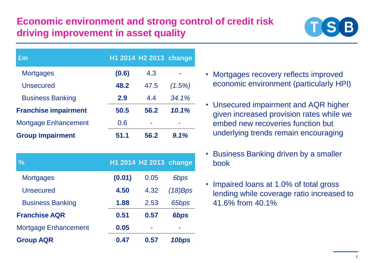# **Economic environment and strong control of credit risk driving improvement in asset quality**



| £m                          |       | H1 2014 H2 2013 change |        |
|-----------------------------|-------|------------------------|--------|
| <b>Mortgages</b>            | (0.6) | 4.3                    |        |
| <b>Unsecured</b>            | 48.2  | 47.5                   | (1.5%) |
| <b>Business Banking</b>     | 2.9   | 4.4                    | 34.1%  |
| <b>Franchise impairment</b> | 50.5  | 56.2                   | 10.1%  |
| <b>Mortgage Enhancement</b> | 0.6   |                        |        |
| <b>Group impairment</b>     | 51.1  | 56.2                   | 9.1%   |

| %                           |        | H1 2014 H2 2013 change |                  |
|-----------------------------|--------|------------------------|------------------|
| <b>Mortgages</b>            | (0.01) | 0.05                   | 6 <sub>bps</sub> |
| <b>Unsecured</b>            | 4.50   | 4.32                   | $(18)$ Bps       |
| <b>Business Banking</b>     | 1.88   | 2.53                   | 65bps            |
| <b>Franchise AQR</b>        | 0.51   | 0.57                   | 6bps             |
| <b>Mortgage Enhancement</b> | 0.05   | ÷                      |                  |
| <b>Group AQR</b>            | 0.47   | 0.57                   | 10bps            |

- Mortgages recovery reflects improved economic environment (particularly HPI)
- Unsecured impairment and AQR higher given increased provision rates while we embed new recoveries function but underlying trends remain encouraging
- Business Banking driven by a smaller book
- Impaired loans at 1.0% of total gross lending while coverage ratio increased to 41.6% from 40.1%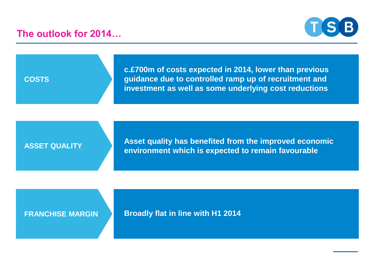**The outlook for 2014…**



**COSTS**

**c.£700m of costs expected in 2014, lower than previous guidance due to controlled ramp up of recruitment and investment as well as some underlying cost reductions**

#### **ASSET QUALITY**

**Asset quality has benefited from the improved economic environment which is expected to remain favourable** 

#### **FRANCHISE MARGIN**

**Broadly flat in line with H1 2014**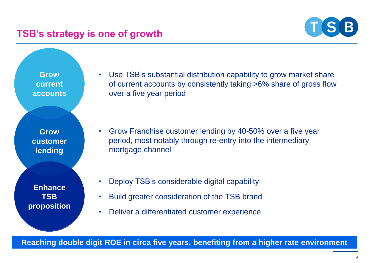#### **TSB's strategy is one of growth**



**Grow<br>current**<br>accounts **Grow current accounts**

**Grow customer lending** 

**Enhance TSB proposition** • Use TSB's substantial distribution capability to grow market share of current accounts by consistently taking >6% share of gross flow over a five year period

- Grow Franchise customer lending by 40-50% over a five year period, most notably through re-entry into the intermediary mortgage channel
- Deploy TSB's considerable digital capability
- Build greater consideration of the TSB brand
- Deliver a differentiated customer experience

**Reaching double digit ROE in circa five years, benefiting from a higher rate environment**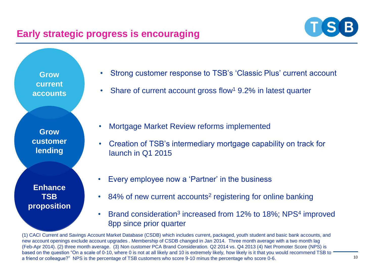### **Early strategic progress is encouraging**



**Grow<br>current**<br>accounts **Grow current accounts**

**Grow customer lending** 

**Enhance TSB proposition**

- Strong customer response to TSB's 'Classic Plus' current account
- Share of current account gross flow<sup>1</sup> 9.2% in latest quarter

- Mortgage Market Review reforms implemented
- Creation of TSB's intermediary mortgage capability on track for launch in Q1 2015
- Every employee now a 'Partner' in the business
- 84% of new current accounts<sup>2</sup> registering for online banking
- Brand consideration<sup>3</sup> increased from 12% to 18%; NPS<sup>4</sup> improved 8pp since prior quarter

(1) CACI Current and Savings Account Market Database (CSDB) which includes current, packaged, youth student and basic bank accounts, and new account openings exclude account upgrades . Membership of CSDB changed in Jan 2014. Three month average with a two month lag (Feb-Apr 2014). (2) three month average. (3) Non customer PCA Brand Consideration. Q2 2014 vs. Q4 2013 (4) Net Promoter Score (NPS) is based on the question "On a scale of 0-10, where 0 is not at all likely and 10 is extremely likely, how likely is it that you would recommend TSB to a friend or colleague?" NPS is the percentage of TSB customers who score 9-10 minus the percentage who score 0-6.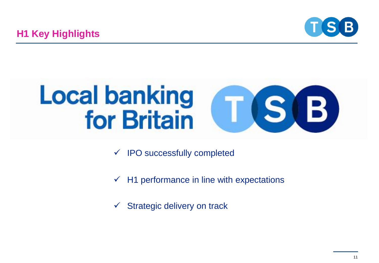



- $\checkmark$  IPO successfully completed
- $\checkmark$  H1 performance in line with expectations
- $\checkmark$  Strategic delivery on track